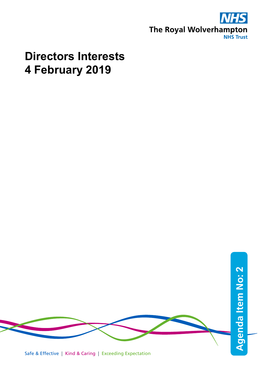

## **Directors Interests 4 February 2019**



Safe & Effective | Kind & Caring | Exceeding Expectation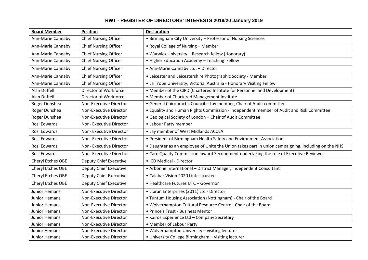## **RWT - REGISTER OF DIRECTORS' INTERESTS 2019/20 January 2019**

| <b>Board Member</b>  | <b>Position</b>               | <b>Declaration</b>                                                                                 |
|----------------------|-------------------------------|----------------------------------------------------------------------------------------------------|
| Ann-Marie Cannaby    | <b>Chief Nursing Officer</b>  | • Birmingham City University - Professor of Nursing Sciences                                       |
| Ann-Marie Cannaby    | <b>Chief Nursing Officer</b>  | • Royal College of Nursing - Member                                                                |
| Ann-Marie Cannaby    | <b>Chief Nursing Officer</b>  | • Warwick University - Research fellow (Honorary)                                                  |
| Ann-Marie Cannaby    | <b>Chief Nursing Officer</b>  | • Higher Education Academy - Teaching Fellow                                                       |
| Ann-Marie Cannaby    | <b>Chief Nursing Officer</b>  | • Ann-Marie Cannaby Ltd. - Director                                                                |
| Ann-Marie Cannaby    | <b>Chief Nursing Officer</b>  | • Leicester and Leicestershire Photographic Society - Member                                       |
| Ann-Marie Cannaby    | <b>Chief Nursing Officer</b>  | • La Trobe University, Victoria, Australia - Honorary Visiting Fellow                              |
| <b>Alan Duffell</b>  | Director of Workforce         | • Member of the CIPD (Chartered Institute for Personnel and Development)                           |
| <b>Alan Duffell</b>  | Director of Workforce         | • Member of Chartered Management Institute                                                         |
| Roger Dunshea        | Non-Executive Director        | • General Chiropractic Council - Lay member, Chair of Audit committee                              |
| Roger Dunshea        | Non-Executive Director        | • Equality and Human Rights Commission - independent member of Audit and Risk Committee            |
| Roger Dunshea        | Non-Executive Director        | • Geological Society of London - Chair of Audit Committee                                          |
| Rosi Edwards         | Non-Executive Director        | • Labour Party member                                                                              |
| Rosi Edwards         | Non-Executive Director        | • Lay member of West Midlands ACCEA                                                                |
| Rosi Edwards         | Non-Executive Director        | • President of Birmingham Health Safety and Environment Association                                |
| Rosi Edwards         | Non-Executive Director        | . Daughter as an employee of Unite the Union takes part in union campaigning, including on the NHS |
| Rosi Edwards         | Non-Executive Director        | • Care Quality Commission Inward Secondment undertaking the role of Executive Reviewer             |
| Cheryl Etches OBE    | <b>Deputy Chief Executive</b> | • ICD Medical - Director                                                                           |
| Cheryl Etches OBE    | <b>Deputy Chief Executive</b> | • Arbonne International - District Manager, Independent Consultant                                 |
| Cheryl Etches OBE    | <b>Deputy Chief Executive</b> | • Calabar Vision 2020 Link - trustee                                                               |
| Cheryl Etches OBE    | <b>Deputy Chief Executive</b> | • Healthcare Futures UTC - Governor                                                                |
| <b>Junior Hemans</b> | Non-Executive Director        | · Libran Enterprises (2011) Ltd - Director                                                         |
| <b>Junior Hemans</b> | Non-Executive Director        | • Tuntum Housing Association (Nottingham) - Chair of the Board                                     |
| Junior Hemans        | Non-Executive Director        | . Wolverhampton Cultural Resource Centre - Chair of the Board                                      |
| Junior Hemans        | Non-Executive Director        | • Prince's Trust - Business Mentor                                                                 |
| <b>Junior Hemans</b> | Non-Executive Director        | • Kairos Experience Ltd - Company Secretary                                                        |
| Junior Hemans        | Non-Executive Director        | • Member of Labour Party                                                                           |
| <b>Junior Hemans</b> | Non-Executive Director        | • Wolverhampton University - visiting lecturer                                                     |
| Junior Hemans        | Non-Executive Director        | • University College Birmingham - visiting lecturer                                                |